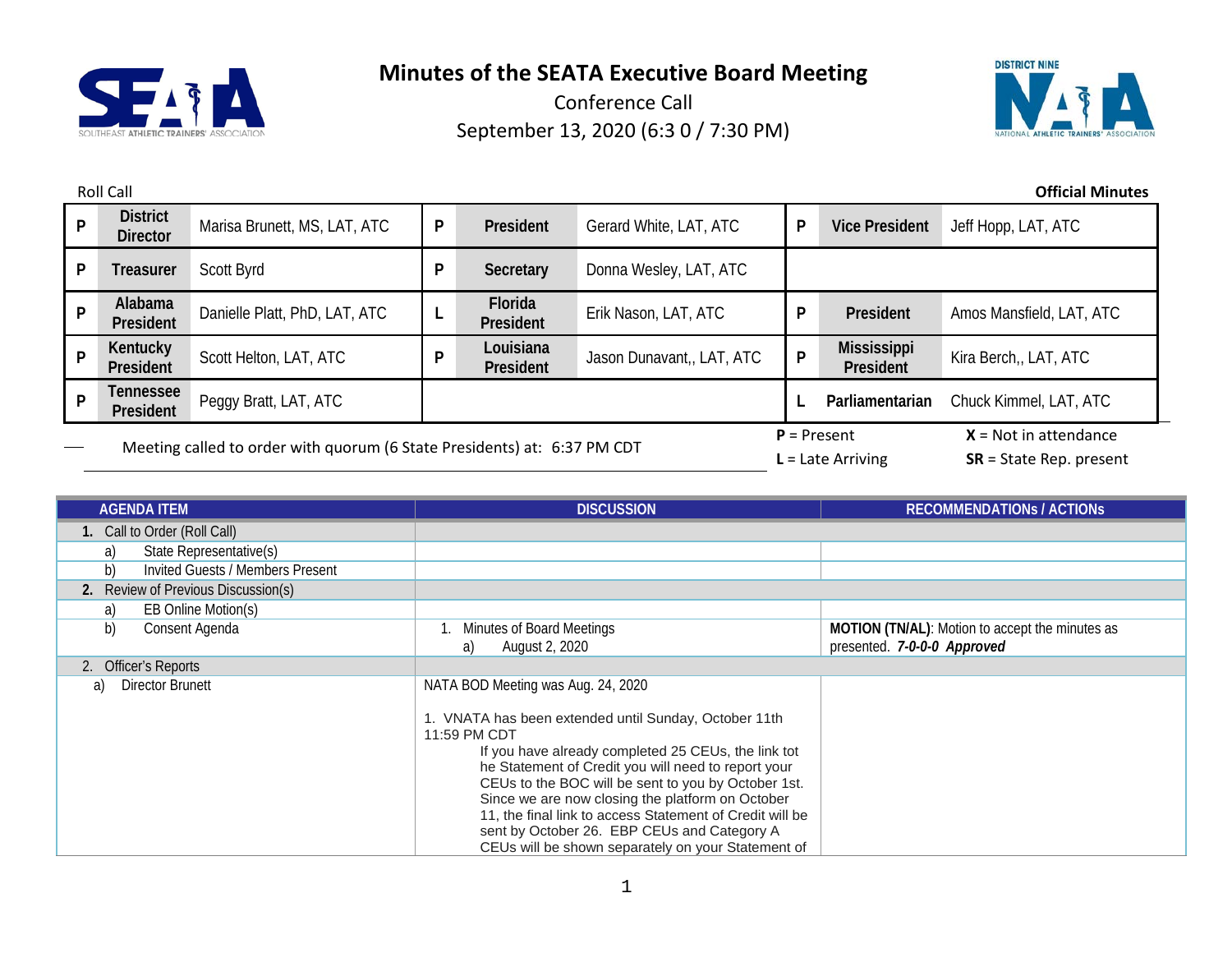



|   | <b>Official Minutes</b><br><b>Roll Call</b>                              |                               |   |                        |                           |                                      |                                                      |                          |
|---|--------------------------------------------------------------------------|-------------------------------|---|------------------------|---------------------------|--------------------------------------|------------------------------------------------------|--------------------------|
| P | <b>District</b><br><b>Director</b>                                       | Marisa Brunett, MS, LAT, ATC  | P | President              | Gerard White, LAT, ATC    | P                                    | <b>Vice President</b>                                | Jeff Hopp, LAT, ATC      |
| P | <b>Treasurer</b>                                                         | Scott Byrd                    | P | Secretary              | Donna Wesley, LAT, ATC    |                                      |                                                      |                          |
| P | Alabama<br>President                                                     | Danielle Platt, PhD, LAT, ATC |   | Florida<br>President   | Erik Nason, LAT, ATC      | P                                    | President                                            | Amos Mansfield, LAT, ATC |
| P | Kentucky<br>President                                                    | Scott Helton, LAT, ATC        | P | Louisiana<br>President | Jason Dunavant,, LAT, ATC | P                                    | <b>Mississippi</b><br>President                      | Kira Berch,, LAT, ATC    |
| D | <b>Tennessee</b><br>President                                            | Peggy Bratt, LAT, ATC         |   |                        |                           |                                      | Parliamentarian                                      | Chuck Kimmel, LAT, ATC   |
|   | Meeting called to order with quorum (6 State Presidents) at: 6:37 PM CDT |                               |   |                        |                           | $P =$ Present<br>$L =$ Late Arriving | $X = Not in attendance$<br>$SR = State Rep. present$ |                          |

| <b>AGENDA ITEM</b>                     | <b>DISCUSSION</b>                                                                                                                                                                                                                                                                                                                                                                                                                                                                                    | <b>RECOMMENDATIONS / ACTIONS</b>                                                      |
|----------------------------------------|------------------------------------------------------------------------------------------------------------------------------------------------------------------------------------------------------------------------------------------------------------------------------------------------------------------------------------------------------------------------------------------------------------------------------------------------------------------------------------------------------|---------------------------------------------------------------------------------------|
| 1. Call to Order (Roll Call)           |                                                                                                                                                                                                                                                                                                                                                                                                                                                                                                      |                                                                                       |
| State Representative(s)<br>a)          |                                                                                                                                                                                                                                                                                                                                                                                                                                                                                                      |                                                                                       |
| b)<br>Invited Guests / Members Present |                                                                                                                                                                                                                                                                                                                                                                                                                                                                                                      |                                                                                       |
| 2. Review of Previous Discussion(s)    |                                                                                                                                                                                                                                                                                                                                                                                                                                                                                                      |                                                                                       |
| EB Online Motion(s)<br>a)              |                                                                                                                                                                                                                                                                                                                                                                                                                                                                                                      |                                                                                       |
| b)<br>Consent Agenda                   | Minutes of Board Meetings<br>August 2, 2020<br>a)                                                                                                                                                                                                                                                                                                                                                                                                                                                    | <b>MOTION (TN/AL):</b> Motion to accept the minutes as<br>presented. 7-0-0-0 Approved |
| 2. Officer's Reports                   |                                                                                                                                                                                                                                                                                                                                                                                                                                                                                                      |                                                                                       |
| Director Brunett<br>a)                 | NATA BOD Meeting was Aug. 24, 2020<br>. VNATA has been extended until Sunday, October 11th<br>11:59 PM CDT<br>If you have already completed 25 CEUs, the link tot<br>he Statement of Credit you will need to report your<br>CEUs to the BOC will be sent to you by October 1st.<br>Since we are now closing the platform on October<br>11, the final link to access Statement of Credit will be<br>sent by October 26. EBP CEUs and Category A<br>CEUs will be shown separately on your Statement of |                                                                                       |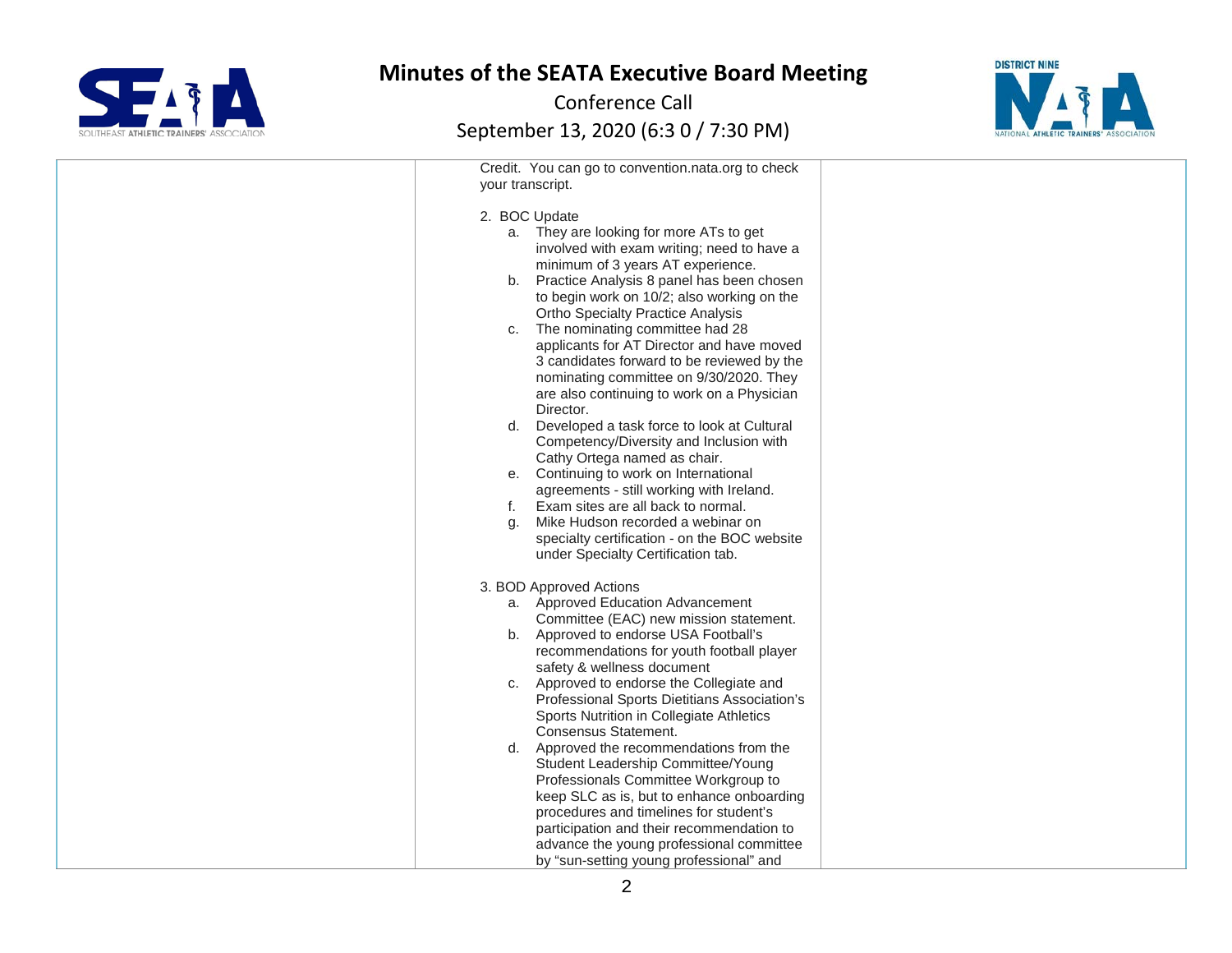



| Credit. You can go to convention.nata.org to check                                |  |
|-----------------------------------------------------------------------------------|--|
| your transcript.                                                                  |  |
| 2. BOC Update                                                                     |  |
| a. They are looking for more ATs to get                                           |  |
| involved with exam writing; need to have a                                        |  |
| minimum of 3 years AT experience.                                                 |  |
| Practice Analysis 8 panel has been chosen<br>b.                                   |  |
| to begin work on 10/2; also working on the                                        |  |
| <b>Ortho Specialty Practice Analysis</b><br>The nominating committee had 28<br>C. |  |
| applicants for AT Director and have moved                                         |  |
| 3 candidates forward to be reviewed by the                                        |  |
| nominating committee on 9/30/2020. They                                           |  |
| are also continuing to work on a Physician                                        |  |
| Director.                                                                         |  |
| Developed a task force to look at Cultural<br>d.                                  |  |
| Competency/Diversity and Inclusion with<br>Cathy Ortega named as chair.           |  |
| Continuing to work on International<br>е.                                         |  |
| agreements - still working with Ireland.                                          |  |
| Exam sites are all back to normal.<br>f.                                          |  |
| Mike Hudson recorded a webinar on<br>g.                                           |  |
| specialty certification - on the BOC website                                      |  |
| under Specialty Certification tab.                                                |  |
| 3. BOD Approved Actions                                                           |  |
| a. Approved Education Advancement                                                 |  |
| Committee (EAC) new mission statement.                                            |  |
| b. Approved to endorse USA Football's                                             |  |
| recommendations for youth football player<br>safety & wellness document           |  |
| Approved to endorse the Collegiate and<br>C.                                      |  |
| Professional Sports Dietitians Association's                                      |  |
| Sports Nutrition in Collegiate Athletics                                          |  |
| Consensus Statement.                                                              |  |
| Approved the recommendations from the<br>d.                                       |  |
| Student Leadership Committee/Young<br>Professionals Committee Workgroup to        |  |
| keep SLC as is, but to enhance onboarding                                         |  |
| procedures and timelines for student's                                            |  |
| participation and their recommendation to                                         |  |
| advance the young professional committee                                          |  |
| by "sun-setting young professional" and                                           |  |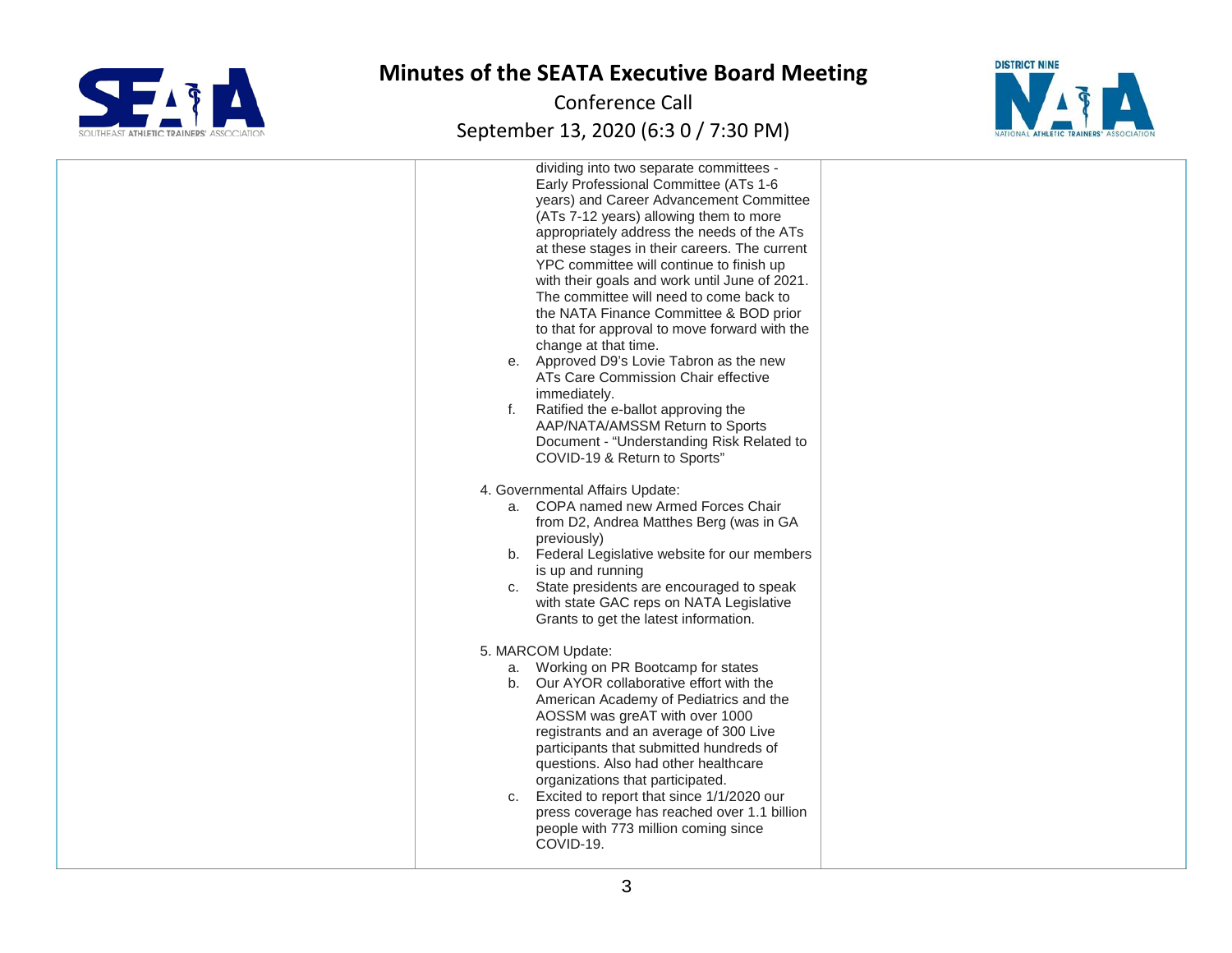



| dividing into two separate committees -<br>Early Professional Committee (ATs 1-6<br>years) and Career Advancement Committee<br>(ATs 7-12 years) allowing them to more<br>appropriately address the needs of the ATs<br>at these stages in their careers. The current<br>YPC committee will continue to finish up<br>with their goals and work until June of 2021.<br>The committee will need to come back to<br>the NATA Finance Committee & BOD prior<br>to that for approval to move forward with the<br>change at that time.<br>e. Approved D9's Lovie Tabron as the new<br>ATs Care Commission Chair effective<br>immediately.<br>Ratified the e-ballot approving the<br>f.<br>AAP/NATA/AMSSM Return to Sports<br>Document - "Understanding Risk Related to<br>COVID-19 & Return to Sports" |  |
|-------------------------------------------------------------------------------------------------------------------------------------------------------------------------------------------------------------------------------------------------------------------------------------------------------------------------------------------------------------------------------------------------------------------------------------------------------------------------------------------------------------------------------------------------------------------------------------------------------------------------------------------------------------------------------------------------------------------------------------------------------------------------------------------------|--|
| 4. Governmental Affairs Update:<br>a. COPA named new Armed Forces Chair<br>from D2, Andrea Matthes Berg (was in GA<br>previously)<br>b. Federal Legislative website for our members<br>is up and running<br>c. State presidents are encouraged to speak<br>with state GAC reps on NATA Legislative<br>Grants to get the latest information.<br>5. MARCOM Update:<br>a. Working on PR Bootcamp for states<br>b. Our AYOR collaborative effort with the                                                                                                                                                                                                                                                                                                                                           |  |
| American Academy of Pediatrics and the<br>AOSSM was greAT with over 1000<br>registrants and an average of 300 Live<br>participants that submitted hundreds of<br>questions. Also had other healthcare<br>organizations that participated.<br>Excited to report that since 1/1/2020 our<br>C.<br>press coverage has reached over 1.1 billion<br>people with 773 million coming since<br>COVID-19.                                                                                                                                                                                                                                                                                                                                                                                                |  |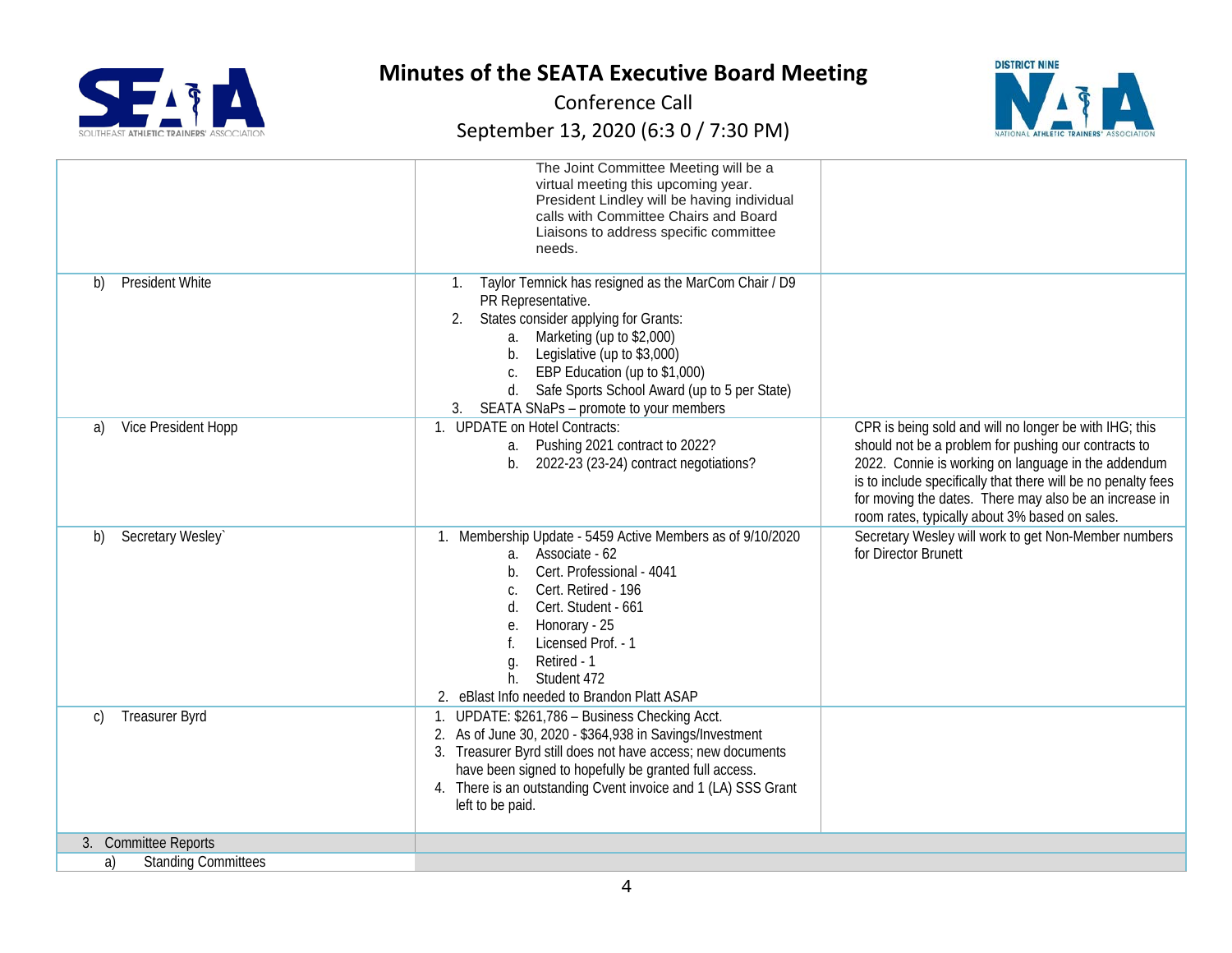



|                                        | The Joint Committee Meeting will be a<br>virtual meeting this upcoming year.<br>President Lindley will be having individual<br>calls with Committee Chairs and Board<br>Liaisons to address specific committee<br>needs.                                                                                                               |                                                                                                                                                                                                                                                                                                                                                    |
|----------------------------------------|----------------------------------------------------------------------------------------------------------------------------------------------------------------------------------------------------------------------------------------------------------------------------------------------------------------------------------------|----------------------------------------------------------------------------------------------------------------------------------------------------------------------------------------------------------------------------------------------------------------------------------------------------------------------------------------------------|
| President White<br>b)                  | Taylor Temnick has resigned as the MarCom Chair / D9<br>1.<br>PR Representative.<br>States consider applying for Grants:<br>a. Marketing (up to \$2,000)<br>Legislative (up to \$3,000)<br>b.<br>EBP Education (up to \$1,000)<br>C.<br>Safe Sports School Award (up to 5 per State)<br>d.<br>3. SEATA SNaPs - promote to your members |                                                                                                                                                                                                                                                                                                                                                    |
| Vice President Hopp<br>a)              | 1. UPDATE on Hotel Contracts:<br>a. Pushing 2021 contract to 2022?<br>b. $2022-23$ (23-24) contract negotiations?                                                                                                                                                                                                                      | CPR is being sold and will no longer be with IHG; this<br>should not be a problem for pushing our contracts to<br>2022. Connie is working on language in the addendum<br>is to include specifically that there will be no penalty fees<br>for moving the dates. There may also be an increase in<br>room rates, typically about 3% based on sales. |
| Secretary Wesley`<br>b)                | 1. Membership Update - 5459 Active Members as of 9/10/2020<br>a. Associate - 62<br>Cert. Professional - 4041<br>b.<br>Cert. Retired - 196<br>Cert. Student - 661<br>d.<br>Honorary - 25<br>е.<br>Licensed Prof. - 1<br>Retired - 1<br>g.<br>Student 472<br>h.<br>2. eBlast Info needed to Brandon Platt ASAP                           | Secretary Wesley will work to get Non-Member numbers<br>for Director Brunett                                                                                                                                                                                                                                                                       |
| <b>Treasurer Byrd</b><br>$\mathcal{C}$ | UPDATE: \$261,786 - Business Checking Acct.<br>1.<br>2. As of June 30, 2020 - \$364,938 in Savings/Investment<br>3. Treasurer Byrd still does not have access; new documents<br>have been signed to hopefully be granted full access.<br>4. There is an outstanding Cvent invoice and 1 (LA) SSS Grant<br>left to be paid.             |                                                                                                                                                                                                                                                                                                                                                    |
| 3. Committee Reports                   |                                                                                                                                                                                                                                                                                                                                        |                                                                                                                                                                                                                                                                                                                                                    |
| <b>Standing Committees</b><br>a)       |                                                                                                                                                                                                                                                                                                                                        |                                                                                                                                                                                                                                                                                                                                                    |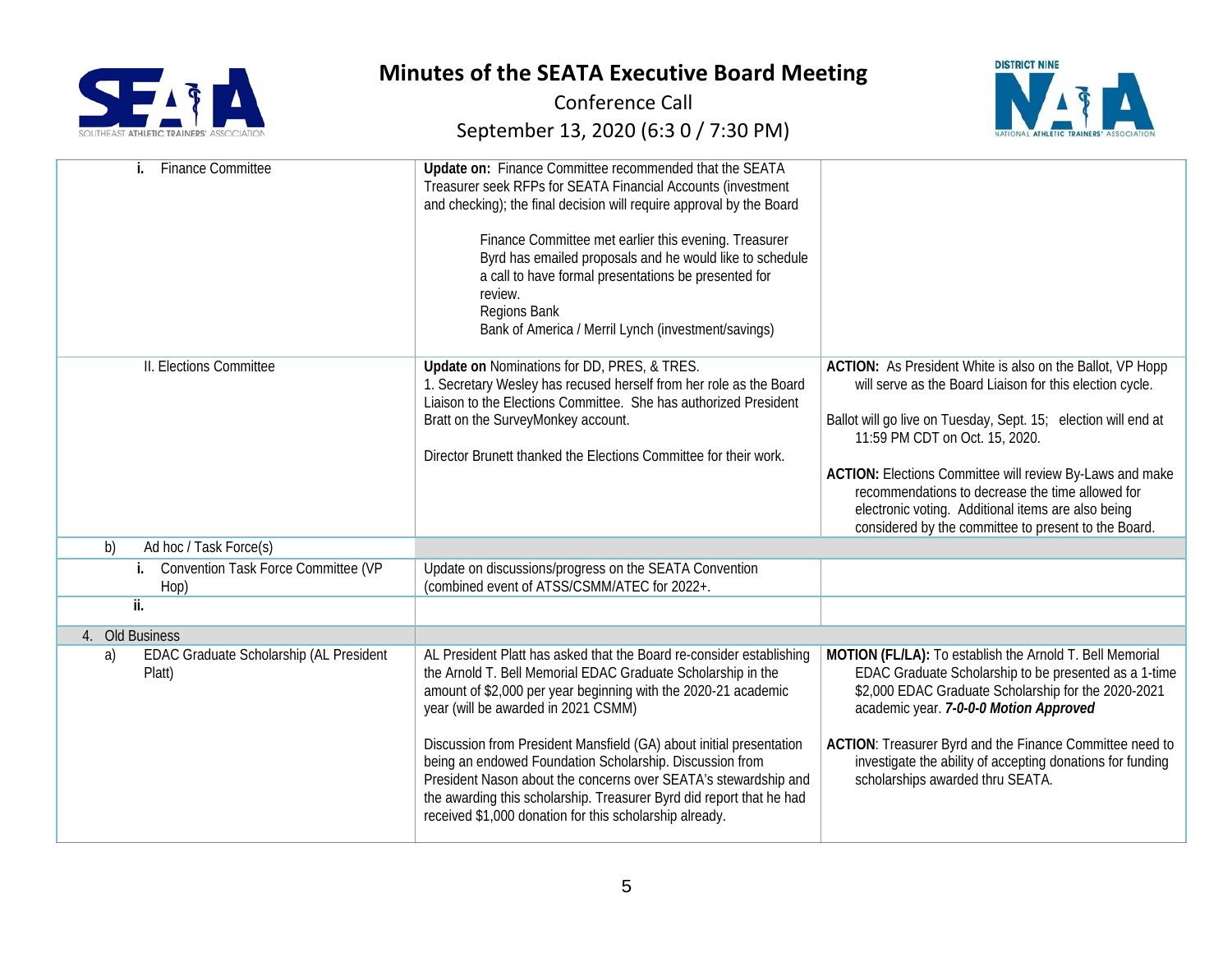



| <b>Finance Committee</b>                                | Update on: Finance Committee recommended that the SEATA<br>Treasurer seek RFPs for SEATA Financial Accounts (investment<br>and checking); the final decision will require approval by the Board<br>Finance Committee met earlier this evening. Treasurer<br>Byrd has emailed proposals and he would like to schedule<br>a call to have formal presentations be presented for<br>review.<br>Regions Bank<br>Bank of America / Merril Lynch (investment/savings) |                                                                                                                                                                                                                                                                                                                                                                                                                                                         |
|---------------------------------------------------------|----------------------------------------------------------------------------------------------------------------------------------------------------------------------------------------------------------------------------------------------------------------------------------------------------------------------------------------------------------------------------------------------------------------------------------------------------------------|---------------------------------------------------------------------------------------------------------------------------------------------------------------------------------------------------------------------------------------------------------------------------------------------------------------------------------------------------------------------------------------------------------------------------------------------------------|
| II. Elections Committee                                 | Update on Nominations for DD, PRES, & TRES.<br>1. Secretary Wesley has recused herself from her role as the Board<br>Liaison to the Elections Committee. She has authorized President<br>Bratt on the SurveyMonkey account.<br>Director Brunett thanked the Elections Committee for their work.                                                                                                                                                                | ACTION: As President White is also on the Ballot, VP Hopp<br>will serve as the Board Liaison for this election cycle.<br>Ballot will go live on Tuesday, Sept. 15; election will end at<br>11:59 PM CDT on Oct. 15, 2020.<br>ACTION: Elections Committee will review By-Laws and make<br>recommendations to decrease the time allowed for<br>electronic voting. Additional items are also being<br>considered by the committee to present to the Board. |
| b)<br>Ad hoc / Task Force(s)                            |                                                                                                                                                                                                                                                                                                                                                                                                                                                                |                                                                                                                                                                                                                                                                                                                                                                                                                                                         |
| Convention Task Force Committee (VP<br>j.<br>Hop)       | Update on discussions/progress on the SEATA Convention<br>(combined event of ATSS/CSMM/ATEC for 2022+.                                                                                                                                                                                                                                                                                                                                                         |                                                                                                                                                                                                                                                                                                                                                                                                                                                         |
| $\overline{\mathbf{ii}}$ .                              |                                                                                                                                                                                                                                                                                                                                                                                                                                                                |                                                                                                                                                                                                                                                                                                                                                                                                                                                         |
| 4. Old Business                                         |                                                                                                                                                                                                                                                                                                                                                                                                                                                                |                                                                                                                                                                                                                                                                                                                                                                                                                                                         |
| EDAC Graduate Scholarship (AL President<br>a)<br>Platt) | AL President Platt has asked that the Board re-consider establishing<br>the Arnold T. Bell Memorial EDAC Graduate Scholarship in the<br>amount of \$2,000 per year beginning with the 2020-21 academic<br>year (will be awarded in 2021 CSMM)                                                                                                                                                                                                                  | MOTION (FL/LA): To establish the Arnold T. Bell Memorial<br>EDAC Graduate Scholarship to be presented as a 1-time<br>\$2,000 EDAC Graduate Scholarship for the 2020-2021<br>academic year. 7-0-0-0 Motion Approved                                                                                                                                                                                                                                      |
|                                                         | Discussion from President Mansfield (GA) about initial presentation<br>being an endowed Foundation Scholarship. Discussion from<br>President Nason about the concerns over SEATA's stewardship and<br>the awarding this scholarship. Treasurer Byrd did report that he had<br>received \$1,000 donation for this scholarship already.                                                                                                                          | ACTION: Treasurer Byrd and the Finance Committee need to<br>investigate the ability of accepting donations for funding<br>scholarships awarded thru SEATA.                                                                                                                                                                                                                                                                                              |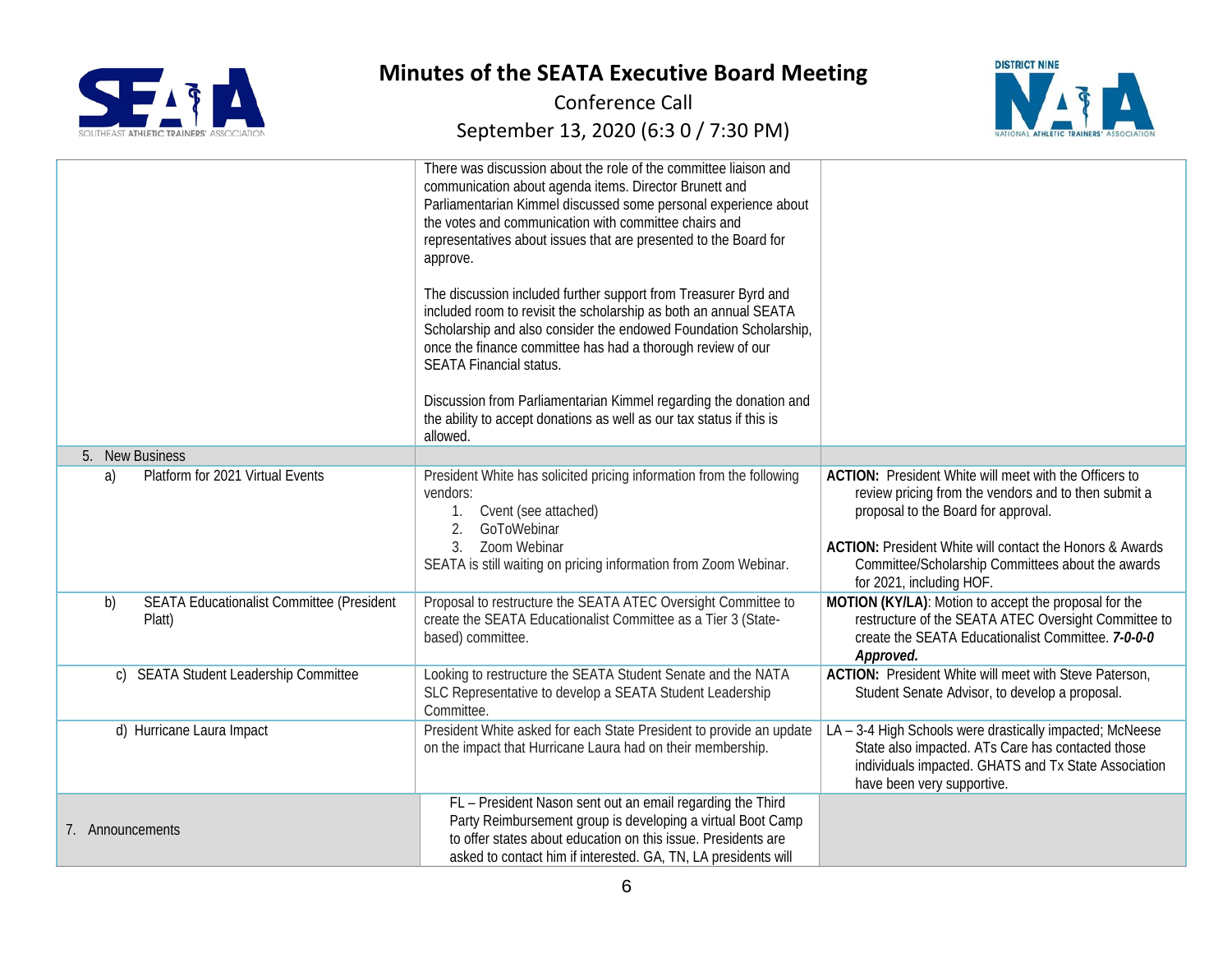



|                                                                  | There was discussion about the role of the committee liaison and<br>communication about agenda items. Director Brunett and<br>Parliamentarian Kimmel discussed some personal experience about<br>the votes and communication with committee chairs and<br>representatives about issues that are presented to the Board for<br>approve.<br>The discussion included further support from Treasurer Byrd and<br>included room to revisit the scholarship as both an annual SEATA<br>Scholarship and also consider the endowed Foundation Scholarship,<br>once the finance committee has had a thorough review of our |                                                                                                                                                                                                                                                                                                           |
|------------------------------------------------------------------|-------------------------------------------------------------------------------------------------------------------------------------------------------------------------------------------------------------------------------------------------------------------------------------------------------------------------------------------------------------------------------------------------------------------------------------------------------------------------------------------------------------------------------------------------------------------------------------------------------------------|-----------------------------------------------------------------------------------------------------------------------------------------------------------------------------------------------------------------------------------------------------------------------------------------------------------|
|                                                                  | <b>SEATA Financial status.</b>                                                                                                                                                                                                                                                                                                                                                                                                                                                                                                                                                                                    |                                                                                                                                                                                                                                                                                                           |
|                                                                  | Discussion from Parliamentarian Kimmel regarding the donation and<br>the ability to accept donations as well as our tax status if this is<br>allowed.                                                                                                                                                                                                                                                                                                                                                                                                                                                             |                                                                                                                                                                                                                                                                                                           |
| 5. New Business                                                  |                                                                                                                                                                                                                                                                                                                                                                                                                                                                                                                                                                                                                   |                                                                                                                                                                                                                                                                                                           |
| Platform for 2021 Virtual Events<br>a)                           | President White has solicited pricing information from the following<br>vendors:<br>Cvent (see attached)<br>2.<br>GoToWebinar<br>Zoom Webinar<br>3.<br>SEATA is still waiting on pricing information from Zoom Webinar.                                                                                                                                                                                                                                                                                                                                                                                           | <b>ACTION:</b> President White will meet with the Officers to<br>review pricing from the vendors and to then submit a<br>proposal to the Board for approval.<br>ACTION: President White will contact the Honors & Awards<br>Committee/Scholarship Committees about the awards<br>for 2021, including HOF. |
| <b>SEATA Educationalist Committee (President</b><br>b)<br>Platt) | Proposal to restructure the SEATA ATEC Oversight Committee to<br>create the SEATA Educationalist Committee as a Tier 3 (State-<br>based) committee.                                                                                                                                                                                                                                                                                                                                                                                                                                                               | MOTION (KY/LA): Motion to accept the proposal for the<br>restructure of the SEATA ATEC Oversight Committee to<br>create the SEATA Educationalist Committee. 7-0-0-0<br>Approved.                                                                                                                          |
| <b>SEATA Student Leadership Committee</b><br>$\mathcal{C}$       | Looking to restructure the SEATA Student Senate and the NATA<br>SLC Representative to develop a SEATA Student Leadership<br>Committee.                                                                                                                                                                                                                                                                                                                                                                                                                                                                            | ACTION: President White will meet with Steve Paterson,<br>Student Senate Advisor, to develop a proposal.                                                                                                                                                                                                  |
| d) Hurricane Laura Impact                                        | President White asked for each State President to provide an update<br>on the impact that Hurricane Laura had on their membership.                                                                                                                                                                                                                                                                                                                                                                                                                                                                                | LA - 3-4 High Schools were drastically impacted; McNeese<br>State also impacted. ATs Care has contacted those<br>individuals impacted. GHATS and Tx State Association<br>have been very supportive.                                                                                                       |
| 7. Announcements                                                 | FL - President Nason sent out an email regarding the Third<br>Party Reimbursement group is developing a virtual Boot Camp<br>to offer states about education on this issue. Presidents are<br>asked to contact him if interested. GA, TN, LA presidents will                                                                                                                                                                                                                                                                                                                                                      |                                                                                                                                                                                                                                                                                                           |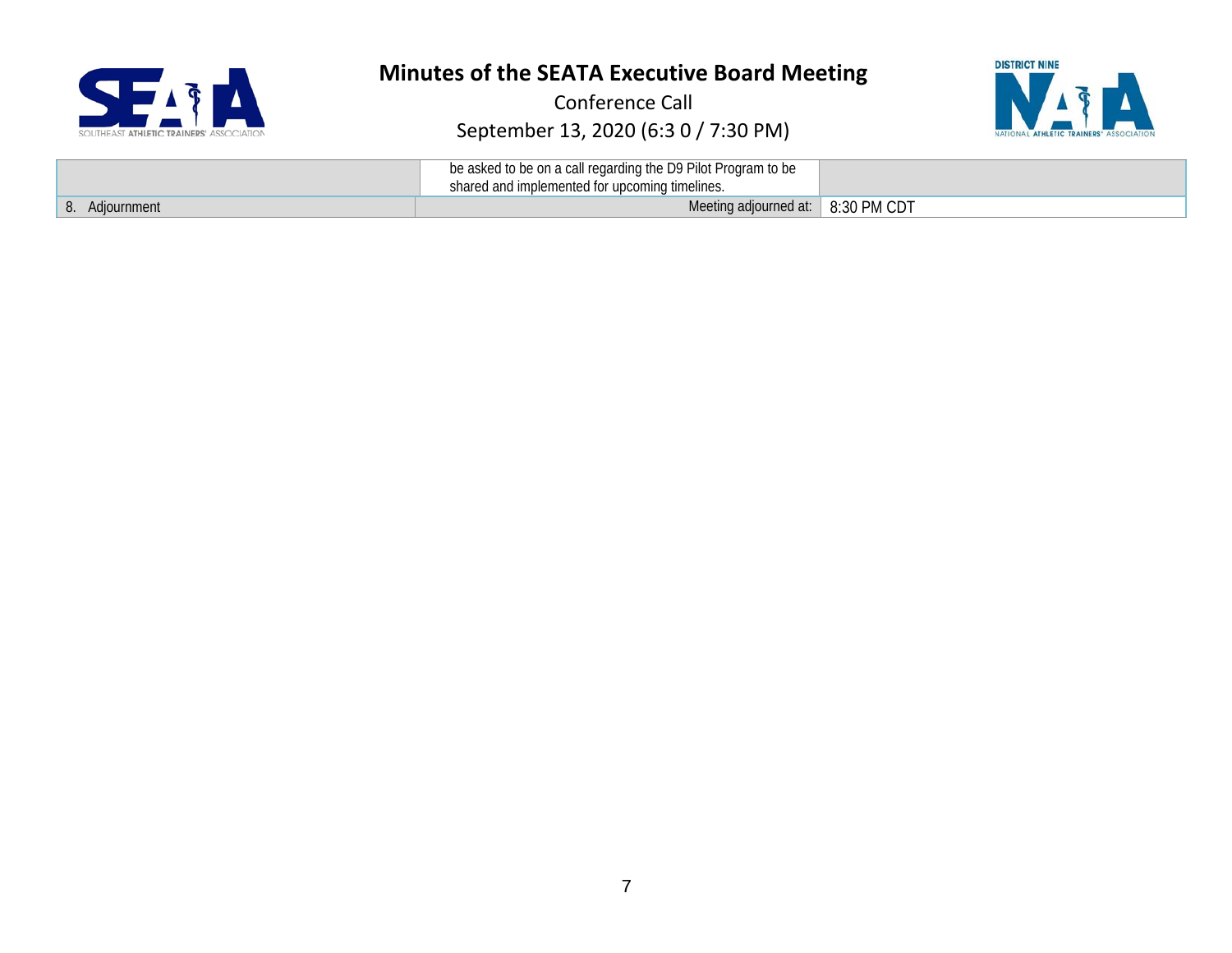



|                   | be asked to be on a call regarding the D9 Pilot Program to be<br>shared and implemented for upcoming timelines. |             |
|-------------------|-----------------------------------------------------------------------------------------------------------------|-------------|
| Adiournment<br>O. | Meeting adjourned at:                                                                                           | 8:30 PM CDT |